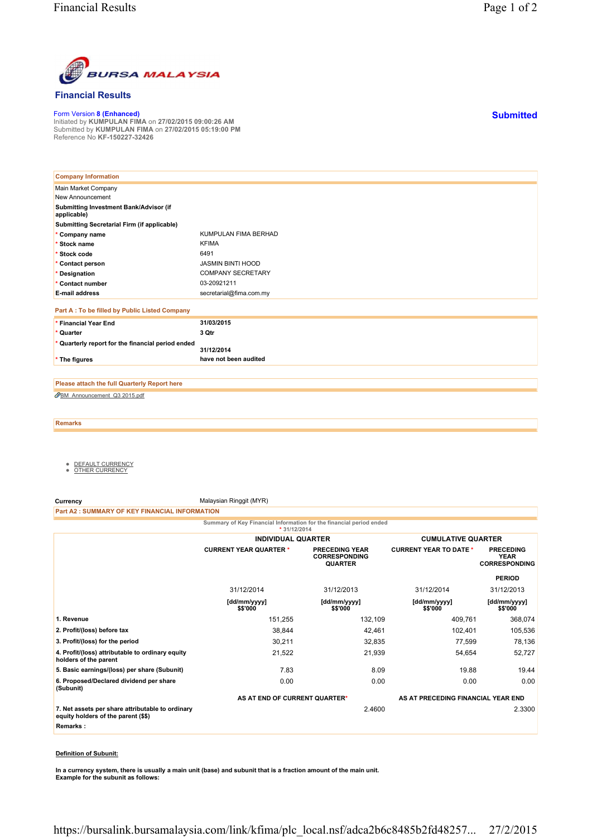

#### **Financial Results**

Form Version **8 (Enhanced)** Initiated by **KUMPULAN FIMA** on **27/02/2015 09:00:26 AM** Submitted by **KUMPULAN FIMA** on **27/02/2015 05:19:00 PM** Reference No **KF-150227-32426**

| <b>Company Information</b>                            |                          |
|-------------------------------------------------------|--------------------------|
| Main Market Company                                   |                          |
| New Announcement                                      |                          |
| Submitting Investment Bank/Advisor (if<br>applicable) |                          |
| Submitting Secretarial Firm (if applicable)           |                          |
| * Company name                                        | KUMPULAN FIMA BERHAD     |
| * Stock name                                          | <b>KFIMA</b>             |
| * Stock code                                          | 6491                     |
| * Contact person                                      | <b>JASMIN BINTI HOOD</b> |
| * Designation                                         | <b>COMPANY SECRETARY</b> |
| * Contact number                                      | 03-20921211              |
| <b>E-mail address</b>                                 | secretarial@fima.com.my  |
| Part A : To be filled by Public Listed Company        |                          |
| * Financial Year End                                  | 31/03/2015               |
| * Quarter                                             | 3 Qtr                    |
| * Quarterly report for the financial period ended     |                          |
|                                                       | 31/12/2014               |
| * The figures                                         | have not been audited    |

BM\_Announcement\_Q3 2015.pdf **Please attach the full Quarterly Report here**

**Remarks**

- DEFAULT CURRENCY OTHER CURRENCY
- 

**Currency** Malaysian Ringgit (MYR) **Part A2 : SUMMARY OF KEY FINANCIAL INFORMATION**

| Summary of Key Financial Information for the financial period ended<br>* 31/12/2014     |                                                                                                  |                                                                     |                               |                                                         |  |  |
|-----------------------------------------------------------------------------------------|--------------------------------------------------------------------------------------------------|---------------------------------------------------------------------|-------------------------------|---------------------------------------------------------|--|--|
|                                                                                         | <b>INDIVIDUAL QUARTER</b>                                                                        |                                                                     | <b>CUMULATIVE QUARTER</b>     |                                                         |  |  |
|                                                                                         | <b>CURRENT YEAR QUARTER *</b><br><b>PRECEDING YEAR</b><br><b>CORRESPONDING</b><br><b>QUARTER</b> |                                                                     | <b>CURRENT YEAR TO DATE *</b> | <b>PRECEDING</b><br><b>YEAR</b><br><b>CORRESPONDING</b> |  |  |
|                                                                                         |                                                                                                  |                                                                     |                               | <b>PERIOD</b>                                           |  |  |
|                                                                                         | 31/12/2014                                                                                       | 31/12/2013                                                          | 31/12/2014                    | 31/12/2013                                              |  |  |
|                                                                                         | [dd/mm/yyyy]<br>\$\$'000                                                                         | [dd/mm/yyyy]<br>\$\$'000                                            | [dd/mm/yyyy]<br>\$\$'000      | [dd/mm/yyyy]<br>\$\$'000                                |  |  |
| 1. Revenue                                                                              | 151,255                                                                                          | 132,109                                                             | 409,761                       | 368,074                                                 |  |  |
| 2. Profit/(loss) before tax                                                             | 38,844                                                                                           | 42,461                                                              | 102,401                       | 105,536                                                 |  |  |
| 3. Profit/(loss) for the period                                                         | 30,211                                                                                           | 32,835                                                              | 77,599                        | 78,136                                                  |  |  |
| 4. Profit/(loss) attributable to ordinary equity<br>holders of the parent               | 21,522                                                                                           | 21,939                                                              | 54,654                        | 52,727                                                  |  |  |
| 5. Basic earnings/(loss) per share (Subunit)                                            | 7.83                                                                                             | 8.09                                                                | 19.88                         | 19.44                                                   |  |  |
| 6. Proposed/Declared dividend per share<br>(Subunit)                                    | 0.00                                                                                             | 0.00                                                                | 0.00                          | 0.00                                                    |  |  |
|                                                                                         |                                                                                                  | AS AT END OF CURRENT QUARTER*<br>AS AT PRECEDING FINANCIAL YEAR END |                               |                                                         |  |  |
| 7. Net assets per share attributable to ordinary<br>equity holders of the parent (\$\$) |                                                                                                  | 2.4600                                                              |                               | 2.3300                                                  |  |  |
| Remarks:                                                                                |                                                                                                  |                                                                     |                               |                                                         |  |  |

#### **Definition of Subunit:**

**In a currency system, there is usually a main unit (base) and subunit that is a fraction amount of the main unit. Example for the subunit as follows:**

**Submitted**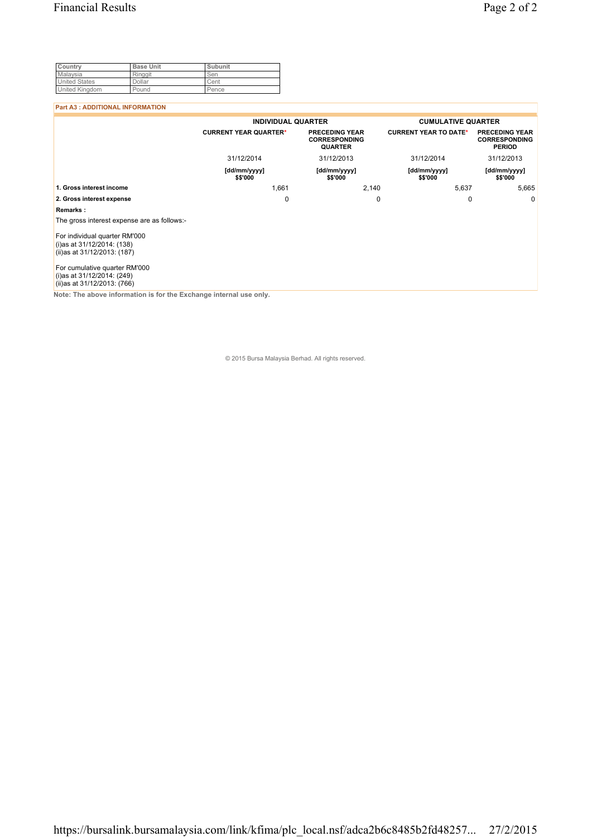| Country               | <b>Base Unit</b> | Subunit |
|-----------------------|------------------|---------|
| Malaysia              | Ringgit          | Sen     |
| <b>United States</b>  | Dollar           | Cent    |
| <b>United Kingdom</b> | Pound            | Pence   |

#### **Part A3 : ADDITIONAL INFORMATION**

|                                                                                            | <b>INDIVIDUAL QUARTER</b>                                                                       |                          | <b>CUMULATIVE QUARTER</b>    |                                                                |
|--------------------------------------------------------------------------------------------|-------------------------------------------------------------------------------------------------|--------------------------|------------------------------|----------------------------------------------------------------|
|                                                                                            | <b>CURRENT YEAR QUARTER*</b><br><b>PRECEDING YEAR</b><br><b>CORRESPONDING</b><br><b>QUARTER</b> |                          | <b>CURRENT YEAR TO DATE*</b> | <b>PRECEDING YEAR</b><br><b>CORRESPONDING</b><br><b>PERIOD</b> |
|                                                                                            | 31/12/2014                                                                                      | 31/12/2013               | 31/12/2014                   | 31/12/2013                                                     |
|                                                                                            | [dd/mm/yyyy]<br>\$\$'000                                                                        | [dd/mm/yyyy]<br>\$\$'000 | [dd/mm/yyyy]<br>\$\$'000     | [dd/mm/yyyy]<br>\$\$'000                                       |
| 1. Gross interest income                                                                   | 1,661                                                                                           | 2,140                    | 5,637                        | 5,665                                                          |
| 2. Gross interest expense                                                                  | 0                                                                                               | 0                        | 0                            | 0                                                              |
| Remarks:                                                                                   |                                                                                                 |                          |                              |                                                                |
| The gross interest expense are as follows:-                                                |                                                                                                 |                          |                              |                                                                |
| For individual quarter RM'000<br>(i)as at 31/12/2014: (138)<br>(ii)as at 31/12/2013: (187) |                                                                                                 |                          |                              |                                                                |
| For cumulative quarter RM'000<br>(i)as at 31/12/2014: (249)<br>(ii)as at 31/12/2013: (766) |                                                                                                 |                          |                              |                                                                |

**Note: The above information is for the Exchange internal use only.**

© 2015 Bursa Malaysia Berhad. All rights reserved.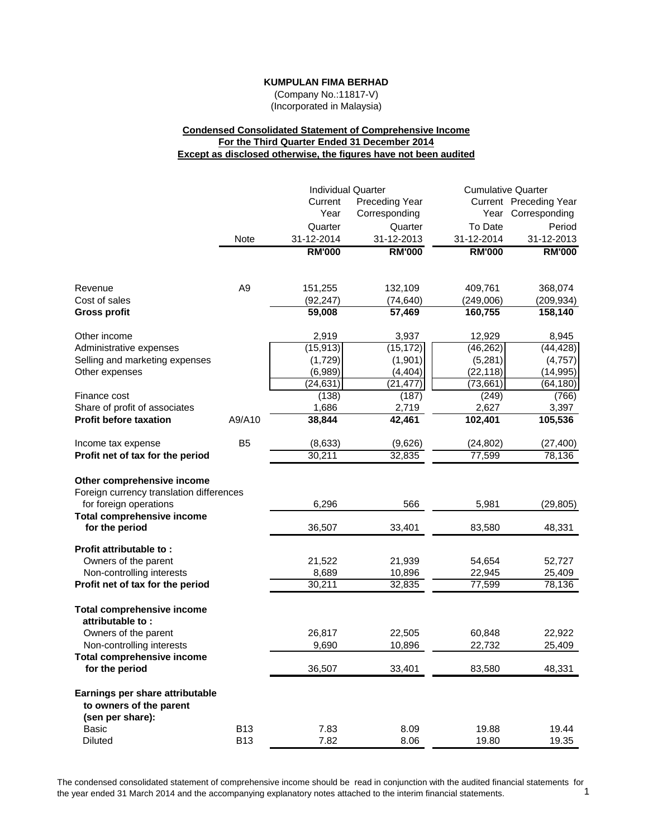(Company No.:11817-V) (Incorporated in Malaysia)

# **Condensed Consolidated Statement of Comprehensive Income For the Third Quarter Ended 31 December 2014 Except as disclosed otherwise, the figures have not been audited**

|                                                                                                  |                | <b>Individual Quarter</b> |                       | <b>Cumulative Quarter</b> |                        |
|--------------------------------------------------------------------------------------------------|----------------|---------------------------|-----------------------|---------------------------|------------------------|
|                                                                                                  |                | Current                   | <b>Preceding Year</b> |                           | Current Preceding Year |
|                                                                                                  |                | Year                      | Corresponding         |                           | Year Corresponding     |
|                                                                                                  |                | Quarter                   | Quarter               | To Date                   | Period                 |
|                                                                                                  | Note           | 31-12-2014                | 31-12-2013            | 31-12-2014                | 31-12-2013             |
|                                                                                                  |                | <b>RM'000</b>             | <b>RM'000</b>         | <b>RM'000</b>             | <b>RM'000</b>          |
| Revenue                                                                                          | A <sub>9</sub> | 151,255                   | 132,109               | 409,761                   | 368,074                |
| Cost of sales                                                                                    |                | (92, 247)                 | (74, 640)             | (249,006)                 | (209, 934)             |
| <b>Gross profit</b>                                                                              |                | 59,008                    | 57,469                | 160,755                   | 158,140                |
| Other income                                                                                     |                | 2,919                     | 3,937                 | 12,929                    | 8,945                  |
| Administrative expenses                                                                          |                | (15, 913)                 | (15, 172)             | (46, 262)                 | (44, 428)              |
| Selling and marketing expenses                                                                   |                | (1,729)                   | (1,901)               | (5,281)                   | (4, 757)               |
| Other expenses                                                                                   |                | (6,989)                   | (4, 404)              | (22, 118)                 | (14, 995)              |
|                                                                                                  |                | (24, 631)                 | (21, 477)             | (73, 661)                 | (64, 180)              |
| Finance cost                                                                                     |                | (138)                     | (187)                 | (249)                     | (766)                  |
| Share of profit of associates                                                                    |                | 1,686                     | 2,719                 | 2,627                     | 3,397                  |
| <b>Profit before taxation</b>                                                                    | A9/A10         | 38,844                    | 42,461                | 102,401                   | 105,536                |
| Income tax expense                                                                               | B <sub>5</sub> | (8,633)                   | (9,626)               | (24, 802)                 | (27, 400)              |
| Profit net of tax for the period                                                                 |                | 30,211                    | 32,835                | 77,599                    | 78,136                 |
| Other comprehensive income<br>Foreign currency translation differences<br>for foreign operations |                | 6,296                     | 566                   | 5,981                     | (29, 805)              |
| <b>Total comprehensive income</b><br>for the period                                              |                | 36,507                    | 33,401                | 83,580                    | 48,331                 |
| Profit attributable to:<br>Owners of the parent                                                  |                | 21,522                    | 21,939                | 54,654                    | 52,727                 |
| Non-controlling interests                                                                        |                | 8,689                     | 10,896                | 22,945                    | 25,409                 |
| Profit net of tax for the period                                                                 |                | 30,211                    | 32,835                | 77,599                    | 78,136                 |
| <b>Total comprehensive income</b><br>attributable to:                                            |                |                           |                       |                           |                        |
| Owners of the parent                                                                             |                | 26,817                    | 22,505                | 60,848                    | 22,922                 |
| Non-controlling interests                                                                        |                | 9,690                     | 10,896                | 22,732                    | 25,409                 |
| <b>Total comprehensive income</b><br>for the period                                              |                | 36,507                    | 33,401                | 83,580                    | 48,331                 |
| Earnings per share attributable<br>to owners of the parent<br>(sen per share):                   |                |                           |                       |                           |                        |
| Basic                                                                                            | <b>B13</b>     | 7.83                      | 8.09                  | 19.88                     | 19.44                  |
| <b>Diluted</b>                                                                                   | <b>B13</b>     | 7.82                      | 8.06                  | 19.80                     | 19.35                  |

The condensed consolidated statement of comprehensive income should be read in conjunction with the audited financial statements for the vear ended 31 March 2014 and the accompanying explanatory notes attached to the inter the year ended 31 March 2014 and the accompanying explanatory notes attached to the interim financial statements. 1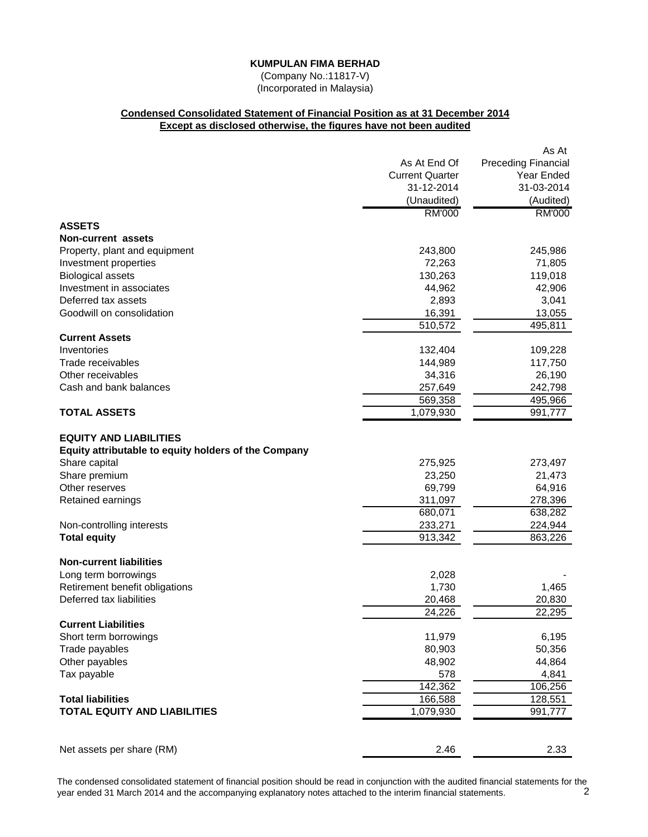(Company No.:11817-V) (Incorporated in Malaysia)

# **Condensed Consolidated Statement of Financial Position as at 31 December 2014 Except as disclosed otherwise, the figures have not been audited**

|                                                      |                        | As At                      |
|------------------------------------------------------|------------------------|----------------------------|
|                                                      | As At End Of           | <b>Preceding Financial</b> |
|                                                      | <b>Current Quarter</b> | Year Ended                 |
|                                                      | 31-12-2014             | 31-03-2014                 |
|                                                      | (Unaudited)            | (Audited)                  |
|                                                      | <b>RM'000</b>          | <b>RM'000</b>              |
| <b>ASSETS</b>                                        |                        |                            |
| Non-current assets                                   |                        |                            |
| Property, plant and equipment                        | 243,800                | 245,986                    |
| Investment properties                                | 72,263                 | 71,805                     |
| <b>Biological assets</b>                             | 130,263                | 119,018                    |
| Investment in associates                             | 44,962                 | 42,906                     |
| Deferred tax assets                                  | 2,893                  | 3,041                      |
| Goodwill on consolidation                            | 16,391                 | 13,055                     |
|                                                      | 510,572                | 495,811                    |
| <b>Current Assets</b>                                |                        |                            |
| Inventories                                          | 132,404                | 109,228                    |
| Trade receivables                                    | 144,989                | 117,750                    |
| Other receivables                                    | 34,316                 | 26,190                     |
| Cash and bank balances                               | 257,649                | 242,798                    |
|                                                      | 569,358                | 495,966                    |
| <b>TOTAL ASSETS</b>                                  | 1,079,930              | 991,777                    |
| <b>EQUITY AND LIABILITIES</b>                        |                        |                            |
| Equity attributable to equity holders of the Company |                        |                            |
| Share capital                                        | 275,925                | 273,497                    |
| Share premium                                        | 23,250                 | 21,473                     |
| Other reserves                                       | 69,799                 | 64,916                     |
| Retained earnings                                    | 311,097                | 278,396                    |
|                                                      | 680,071                | 638,282                    |
| Non-controlling interests                            | 233,271                | 224,944                    |
| <b>Total equity</b>                                  | 913,342                | 863,226                    |
| <b>Non-current liabilities</b>                       |                        |                            |
| Long term borrowings                                 | 2,028                  |                            |
| Retirement benefit obligations                       | 1,730                  | 1,465                      |
| Deferred tax liabilities                             | 20,468                 | 20,830                     |
|                                                      | $\overline{2}$ 4,226   | 22,295                     |
| <b>Current Liabilities</b>                           |                        |                            |
| Short term borrowings                                | 11,979                 | 6,195                      |
| Trade payables                                       | 80,903                 | 50,356                     |
| Other payables                                       | 48,902                 | 44,864                     |
| Tax payable                                          | 578                    | 4,841                      |
|                                                      | 142,362                | 106,256                    |
| <b>Total liabilities</b>                             | 166,588                | 128,551                    |
| <b>TOTAL EQUITY AND LIABILITIES</b>                  | 1,079,930              | 991,777                    |
|                                                      |                        |                            |
| Net assets per share (RM)                            | 2.46                   | 2.33                       |

The condensed consolidated statement of financial position should be read in conjunction with the audited financial statements for the vear ended 31 March 2014 and the accompanying explanatory notes attached to the interim year ended 31 March 2014 and the accompanying explanatory notes attached to the interim financial statements. 2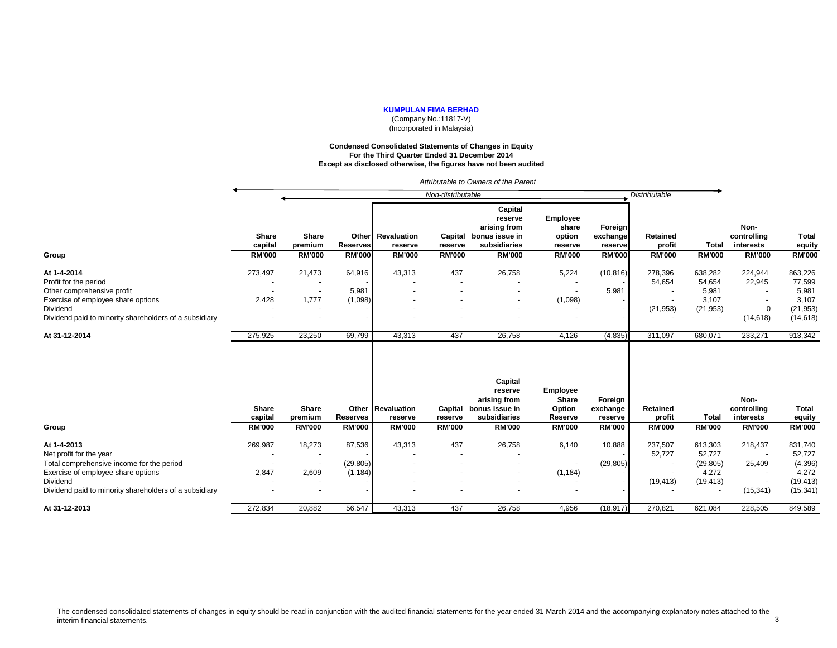(Company No.:11817-V) (Incorporated in Malaysia)

#### **Condensed Consolidated Statements of Changes in Equity For the Third Quarter Ended 31 December 2014 Except as disclosed otherwise, the figures have not been audited**

*Attributable to Owners of the Parent*

|                                                        |                                   |                                   |                                           |                                         | Non-distributable                   |                                                                                       |                                                                |                                                 | <b>Distributable</b>                |                               |                                                   |                                         |
|--------------------------------------------------------|-----------------------------------|-----------------------------------|-------------------------------------------|-----------------------------------------|-------------------------------------|---------------------------------------------------------------------------------------|----------------------------------------------------------------|-------------------------------------------------|-------------------------------------|-------------------------------|---------------------------------------------------|-----------------------------------------|
| Group                                                  | Share<br>capital<br><b>RM'000</b> | Share<br>premium<br><b>RM'000</b> | Other<br><b>Reserves</b><br><b>RM'000</b> | Revaluation<br>reserve<br><b>RM'000</b> | Capital<br>reserve<br><b>RM'000</b> | Capital<br>reserve<br>arising from<br>bonus issue in<br>subsidiaries<br><b>RM'000</b> | <b>Employee</b><br>share<br>option<br>reserve<br><b>RM'000</b> | Foreign<br>exchange<br>reserve<br><b>RM'000</b> | Retained<br>profit<br><b>RM'000</b> | <b>Total</b><br><b>RM'000</b> | Non-<br>controlling<br>interests<br><b>RM'000</b> | <b>Total</b><br>equity<br><b>RM'000</b> |
| At 1-4-2014                                            | 273,497                           | 21,473                            | 64,916                                    | 43,313                                  | 437                                 | 26,758                                                                                | 5,224                                                          | (10, 816)                                       | 278,396                             | 638,282                       | 224,944                                           | 863,226                                 |
| Profit for the period                                  |                                   |                                   |                                           |                                         |                                     |                                                                                       |                                                                |                                                 | 54,654                              | 54,654                        | 22,945                                            | 77,599                                  |
| Other comprehensive profit                             |                                   | $\overline{\phantom{a}}$          | 5,981                                     |                                         |                                     |                                                                                       |                                                                | 5,981                                           |                                     | 5,981                         |                                                   | 5,981                                   |
| Exercise of employee share options                     | 2,428                             | 1,777                             | (1,098)                                   |                                         |                                     |                                                                                       | (1,098)                                                        |                                                 |                                     | 3,107                         |                                                   | 3,107                                   |
| Dividend                                               |                                   | $\overline{\phantom{a}}$          |                                           |                                         |                                     |                                                                                       | $\overline{\phantom{a}}$                                       |                                                 | (21, 953)                           | (21, 953)                     | $\Omega$                                          | (21, 953)                               |
| Dividend paid to minority shareholders of a subsidiary |                                   | $\overline{\phantom{a}}$          |                                           |                                         |                                     |                                                                                       |                                                                |                                                 |                                     |                               | (14, 618)                                         | (14, 618)                               |
| At 31-12-2014                                          | 275,925                           | 23,250                            | 69,799                                    | 43,313                                  | 437                                 | 26,758                                                                                | 4,126                                                          | (4, 835)                                        | 311,097                             | 680,071                       | 233,271                                           | 913,342                                 |
|                                                        | <b>Share</b><br>capital           | <b>Share</b><br>premium           | <b>Reserves</b>                           | <b>Other Revaluation</b><br>reserve     | Capital<br>reserve                  | Capital<br>reserve<br>arising from<br>bonus issue in<br>subsidiaries                  | Employee<br>Share<br>Option<br>Reserve                         | Foreign<br>exchange<br>reserve                  | Retained<br>profit                  | Total                         | Non-<br>controlling<br>interests                  | <b>Total</b><br>equity                  |
| Group                                                  | <b>RM'000</b>                     | <b>RM'000</b>                     | <b>RM'000</b>                             | <b>RM'000</b>                           | <b>RM'000</b>                       | <b>RM'000</b>                                                                         | <b>RM'000</b>                                                  | <b>RM'000</b>                                   | <b>RM'000</b>                       | <b>RM'000</b>                 | <b>RM'000</b>                                     | <b>RM'000</b>                           |
| At 1-4-2013<br>Net profit for the year                 | 269,987                           | 18,273                            | 87,536                                    | 43,313                                  | 437                                 | 26,758                                                                                | 6,140                                                          | 10,888                                          | 237,507<br>52,727                   | 613,303<br>52,727             | 218,437                                           | 831,740<br>52,727                       |
| Total comprehensive income for the period              |                                   |                                   | (29, 805)                                 |                                         |                                     |                                                                                       | $\overline{\phantom{a}}$                                       | (29, 805)                                       | $\overline{\phantom{a}}$            | (29, 805)                     | 25,409                                            | (4, 396)                                |
| Exercise of employee share options                     | 2,847                             | 2,609                             | (1, 184)                                  |                                         |                                     |                                                                                       | (1, 184)                                                       |                                                 |                                     | 4,272                         |                                                   | 4,272                                   |
| Dividend                                               |                                   | $\overline{\phantom{a}}$          |                                           |                                         |                                     |                                                                                       | $\overline{\phantom{a}}$                                       |                                                 | (19, 413)                           | (19, 413)                     |                                                   | (19, 413)                               |
| Dividend paid to minority shareholders of a subsidiary |                                   | $\overline{\phantom{a}}$          |                                           |                                         |                                     |                                                                                       |                                                                |                                                 |                                     |                               | (15, 341)                                         | (15, 341)                               |
| At 31-12-2013                                          | 272,834                           | 20,882                            | 56,547                                    | 43,313                                  | 437                                 | 26,758                                                                                | 4,956                                                          | (18, 917)                                       | 270,821                             | 621,084                       | 228,505                                           | 849,589                                 |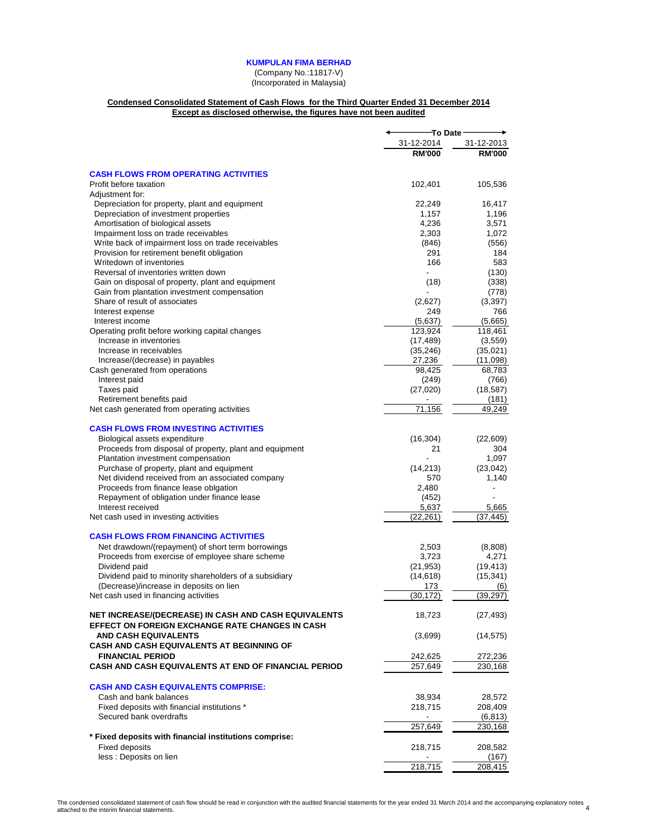(Company No.:11817-V) (Incorporated in Malaysia)

#### **Condensed Consolidated Statement of Cash Flows for the Third Quarter Ended 31 December 2014 Except as disclosed otherwise, the figures have not been audited**

|                                                                                                         | To Date                  |               |
|---------------------------------------------------------------------------------------------------------|--------------------------|---------------|
|                                                                                                         | 31-12-2014               | 31-12-2013    |
|                                                                                                         | <b>RM'000</b>            | <b>RM'000</b> |
| <b>CASH FLOWS FROM OPERATING ACTIVITIES</b>                                                             |                          |               |
|                                                                                                         |                          |               |
| Profit before taxation                                                                                  | 102,401                  | 105,536       |
| Adjustment for:<br>Depreciation for property, plant and equipment                                       | 22,249                   | 16,417        |
| Depreciation of investment properties                                                                   | 1,157                    | 1,196         |
| Amortisation of biological assets                                                                       | 4,236                    | 3,571         |
| Impairment loss on trade receivables                                                                    | 2,303                    | 1,072         |
| Write back of impairment loss on trade receivables                                                      | (846)                    | (556)         |
| Provision for retirement benefit obligation                                                             | 291                      | 184           |
| Writedown of inventories                                                                                | 166                      | 583           |
| Reversal of inventories written down                                                                    | $\overline{\phantom{a}}$ | (130)         |
| Gain on disposal of property, plant and equipment                                                       | (18)                     | (338)         |
| Gain from plantation investment compensation                                                            |                          | (778)         |
| Share of result of associates                                                                           | (2,627)                  | (3, 397)      |
| Interest expense                                                                                        | 249                      | 766           |
| Interest income                                                                                         | (5,637)                  | (5,665)       |
| Operating profit before working capital changes                                                         | 123,924                  | 118,461       |
| Increase in inventories                                                                                 | (17, 489)                | (3, 559)      |
| Increase in receivables                                                                                 | (35, 246)                | (35,021)      |
| Increase/(decrease) in payables                                                                         | 27,236                   | (11,098)      |
| Cash generated from operations                                                                          | 98,425                   | 68,783        |
| Interest paid                                                                                           | (249)                    | (766)         |
| Taxes paid                                                                                              | (27,020)                 | (18, 587)     |
| Retirement benefits paid                                                                                | $\overline{\phantom{a}}$ | (181)         |
| Net cash generated from operating activities                                                            | 71,156                   | 49,249        |
| <b>CASH FLOWS FROM INVESTING ACTIVITIES</b>                                                             |                          |               |
| Biological assets expenditure                                                                           | (16, 304)                | (22, 609)     |
| Proceeds from disposal of property, plant and equipment                                                 | 21                       | 304           |
| Plantation investment compensation                                                                      |                          | 1,097         |
| Purchase of property, plant and equipment                                                               | (14, 213)                | (23, 042)     |
| Net dividend received from an associated company                                                        | 570                      | 1,140         |
| Proceeds from finance lease oblgation                                                                   | 2,480                    |               |
| Repayment of obligation under finance lease                                                             | (452)                    |               |
| Interest received                                                                                       | 5,637                    | 5,665         |
| Net cash used in investing activities                                                                   | (22, 261)                | (37, 445)     |
| <b>CASH FLOWS FROM FINANCING ACTIVITIES</b>                                                             |                          |               |
| Net drawdown/(repayment) of short term borrowings                                                       | 2,503                    | (8,808)       |
| Proceeds from exercise of employee share scheme                                                         | 3,723                    | 4,271         |
| Dividend paid                                                                                           | (21, 953)                | (19, 413)     |
| Dividend paid to minority shareholders of a subsidiary                                                  | (14, 618)                | (15, 341)     |
| (Decrease)/increase in deposits on lien                                                                 | 173                      | (6)           |
| Net cash used in financing activities                                                                   | (30, 172)                | (39, 297)     |
| NET INCREASE/(DECREASE) IN CASH AND CASH EQUIVALENTS<br>EFFECT ON FOREIGN EXCHANGE RATE CHANGES IN CASH | 18,723                   | (27, 493)     |
| <b>AND CASH EQUIVALENTS</b>                                                                             | (3,699)                  | (14, 575)     |
| <b>CASH AND CASH EQUIVALENTS AT BEGINNING OF</b>                                                        |                          |               |
| <b>FINANCIAL PERIOD</b>                                                                                 | 242,625                  | 272,236       |
| <b>CASH AND CASH EQUIVALENTS AT END OF FINANCIAL PERIOD</b>                                             | 257,649                  | 230,168       |
| <b>CASH AND CASH EQUIVALENTS COMPRISE:</b>                                                              |                          |               |
| Cash and bank balances                                                                                  | 38,934                   | 28,572        |
| Fixed deposits with financial institutions *                                                            | 218,715                  | 208,409       |
| Secured bank overdrafts                                                                                 |                          | (6, 813)      |
|                                                                                                         | 257,649                  | 230,168       |
| * Fixed deposits with financial institutions comprise:                                                  |                          |               |
| <b>Fixed deposits</b>                                                                                   | 218,715                  | 208,582       |
| less : Deposits on lien                                                                                 |                          | (167)         |
|                                                                                                         | 218,715                  | 208,415       |
|                                                                                                         |                          |               |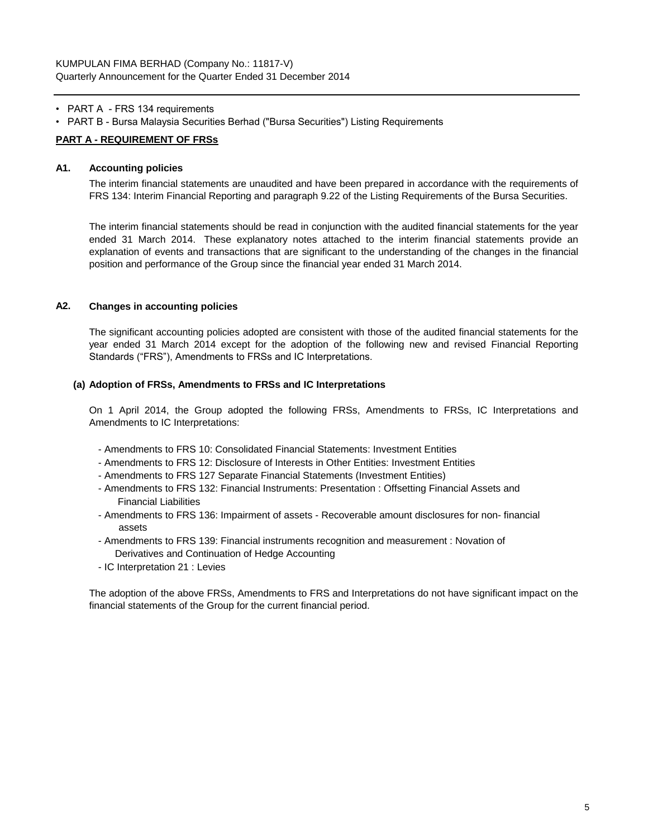- PART A FRS 134 requirements
- PART B Bursa Malaysia Securities Berhad ("Bursa Securities") Listing Requirements

# **PART A - REQUIREMENT OF FRSs**

# **A1. Accounting policies**

The interim financial statements are unaudited and have been prepared in accordance with the requirements of FRS 134: Interim Financial Reporting and paragraph 9.22 of the Listing Requirements of the Bursa Securities.

The interim financial statements should be read in conjunction with the audited financial statements for the year ended 31 March 2014. These explanatory notes attached to the interim financial statements provide an explanation of events and transactions that are significant to the understanding of the changes in the financial position and performance of the Group since the financial year ended 31 March 2014.

# **A2. Changes in accounting policies**

The significant accounting policies adopted are consistent with those of the audited financial statements for the year ended 31 March 2014 except for the adoption of the following new and revised Financial Reporting Standards ("FRS"), Amendments to FRSs and IC Interpretations.

#### **(a) Adoption of FRSs, Amendments to FRSs and IC Interpretations**

On 1 April 2014, the Group adopted the following FRSs, Amendments to FRSs, IC Interpretations and Amendments to IC Interpretations:

- Amendments to FRS 10: Consolidated Financial Statements: Investment Entities
- Amendments to FRS 12: Disclosure of Interests in Other Entities: Investment Entities
- Amendments to FRS 127 Separate Financial Statements (Investment Entities)
- Amendments to FRS 132: Financial Instruments: Presentation : Offsetting Financial Assets and Financial Liabilities
- Amendments to FRS 136: Impairment of assets Recoverable amount disclosures for non- financial assets
- Amendments to FRS 139: Financial instruments recognition and measurement : Novation of Derivatives and Continuation of Hedge Accounting
- IC Interpretation 21 : Levies

The adoption of the above FRSs, Amendments to FRS and Interpretations do not have significant impact on the financial statements of the Group for the current financial period.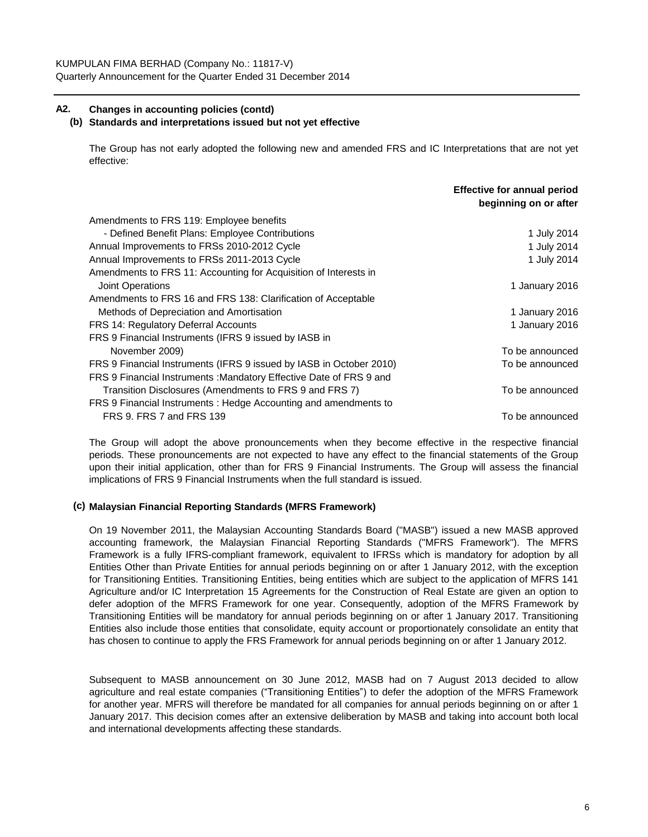# **A2. Changes in accounting policies (contd)**

# **(b) Standards and interpretations issued but not yet effective**

The Group has not early adopted the following new and amended FRS and IC Interpretations that are not yet effective:

|                                                                     | <b>Effective for annual period</b><br>beginning on or after |
|---------------------------------------------------------------------|-------------------------------------------------------------|
| Amendments to FRS 119: Employee benefits                            |                                                             |
| - Defined Benefit Plans: Employee Contributions                     | 1 July 2014                                                 |
| Annual Improvements to FRSs 2010-2012 Cycle                         | 1 July 2014                                                 |
| Annual Improvements to FRSs 2011-2013 Cycle                         | 1 July 2014                                                 |
| Amendments to FRS 11: Accounting for Acquisition of Interests in    |                                                             |
| Joint Operations                                                    | 1 January 2016                                              |
| Amendments to FRS 16 and FRS 138: Clarification of Acceptable       |                                                             |
| Methods of Depreciation and Amortisation                            | 1 January 2016                                              |
| FRS 14: Regulatory Deferral Accounts                                | 1 January 2016                                              |
| FRS 9 Financial Instruments (IFRS 9 issued by IASB in               |                                                             |
| November 2009)                                                      | To be announced                                             |
| FRS 9 Financial Instruments (IFRS 9 issued by IASB in October 2010) | To be announced                                             |
| FRS 9 Financial Instruments: Mandatory Effective Date of FRS 9 and  |                                                             |
| Transition Disclosures (Amendments to FRS 9 and FRS 7)              | To be announced                                             |
| FRS 9 Financial Instruments: Hedge Accounting and amendments to     |                                                             |
| FRS 9. FRS 7 and FRS 139                                            | To be announced                                             |

The Group will adopt the above pronouncements when they become effective in the respective financial periods. These pronouncements are not expected to have any effect to the financial statements of the Group upon their initial application, other than for FRS 9 Financial Instruments. The Group will assess the financial implications of FRS 9 Financial Instruments when the full standard is issued.

# **(c) Malaysian Financial Reporting Standards (MFRS Framework)**

On 19 November 2011, the Malaysian Accounting Standards Board ("MASB") issued a new MASB approved accounting framework, the Malaysian Financial Reporting Standards ("MFRS Framework"). The MFRS Framework is a fully IFRS-compliant framework, equivalent to IFRSs which is mandatory for adoption by all Entities Other than Private Entities for annual periods beginning on or after 1 January 2012, with the exception for Transitioning Entities. Transitioning Entities, being entities which are subject to the application of MFRS 141 Agriculture and/or IC Interpretation 15 Agreements for the Construction of Real Estate are given an option to defer adoption of the MFRS Framework for one year. Consequently, adoption of the MFRS Framework by Transitioning Entities will be mandatory for annual periods beginning on or after 1 January 2017. Transitioning Entities also include those entities that consolidate, equity account or proportionately consolidate an entity that has chosen to continue to apply the FRS Framework for annual periods beginning on or after 1 January 2012.

Subsequent to MASB announcement on 30 June 2012, MASB had on 7 August 2013 decided to allow agriculture and real estate companies ("Transitioning Entities") to defer the adoption of the MFRS Framework for another year. MFRS will therefore be mandated for all companies for annual periods beginning on or after 1 January 2017. This decision comes after an extensive deliberation by MASB and taking into account both local and international developments affecting these standards.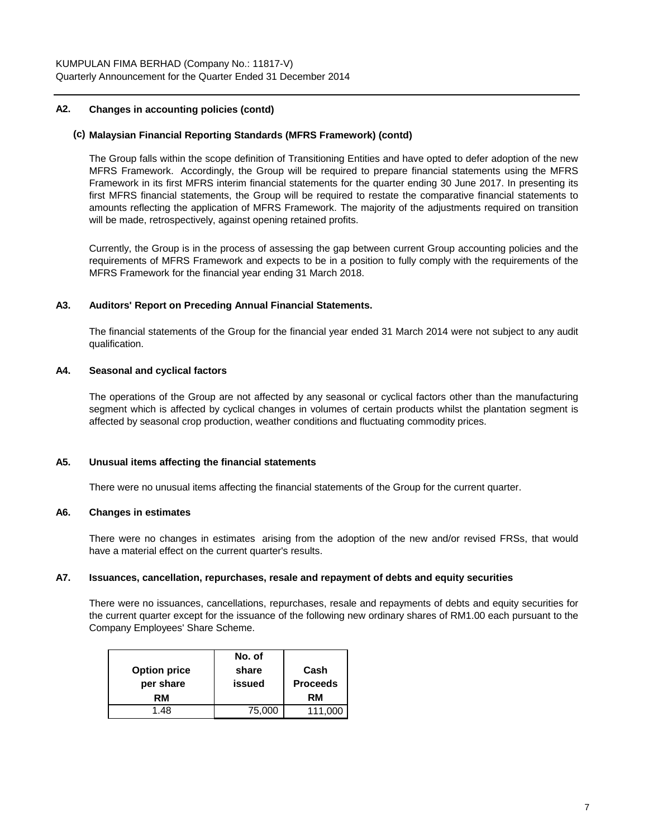# **A2. Changes in accounting policies (contd)**

#### **(c) Malaysian Financial Reporting Standards (MFRS Framework) (contd)**

The Group falls within the scope definition of Transitioning Entities and have opted to defer adoption of the new MFRS Framework. Accordingly, the Group will be required to prepare financial statements using the MFRS Framework in its first MFRS interim financial statements for the quarter ending 30 June 2017. In presenting its first MFRS financial statements, the Group will be required to restate the comparative financial statements to amounts reflecting the application of MFRS Framework. The majority of the adjustments required on transition will be made, retrospectively, against opening retained profits.

Currently, the Group is in the process of assessing the gap between current Group accounting policies and the requirements of MFRS Framework and expects to be in a position to fully comply with the requirements of the MFRS Framework for the financial year ending 31 March 2018.

# **A3. Auditors' Report on Preceding Annual Financial Statements.**

The financial statements of the Group for the financial year ended 31 March 2014 were not subject to any audit qualification.

# **A4. Seasonal and cyclical factors**

The operations of the Group are not affected by any seasonal or cyclical factors other than the manufacturing segment which is affected by cyclical changes in volumes of certain products whilst the plantation segment is affected by seasonal crop production, weather conditions and fluctuating commodity prices.

## **A5. Unusual items affecting the financial statements**

There were no unusual items affecting the financial statements of the Group for the current quarter.

#### **A6. Changes in estimates**

There were no changes in estimates arising from the adoption of the new and/or revised FRSs, that would have a material effect on the current quarter's results.

#### **A7. Issuances, cancellation, repurchases, resale and repayment of debts and equity securities**

There were no issuances, cancellations, repurchases, resale and repayments of debts and equity securities for the current quarter except for the issuance of the following new ordinary shares of RM1.00 each pursuant to the Company Employees' Share Scheme.

|                     | No. of |                 |
|---------------------|--------|-----------------|
| <b>Option price</b> | share  | Cash            |
| per share           | issued | <b>Proceeds</b> |
| RM                  |        | RM              |
| 1.48                | 75,000 | 111,000         |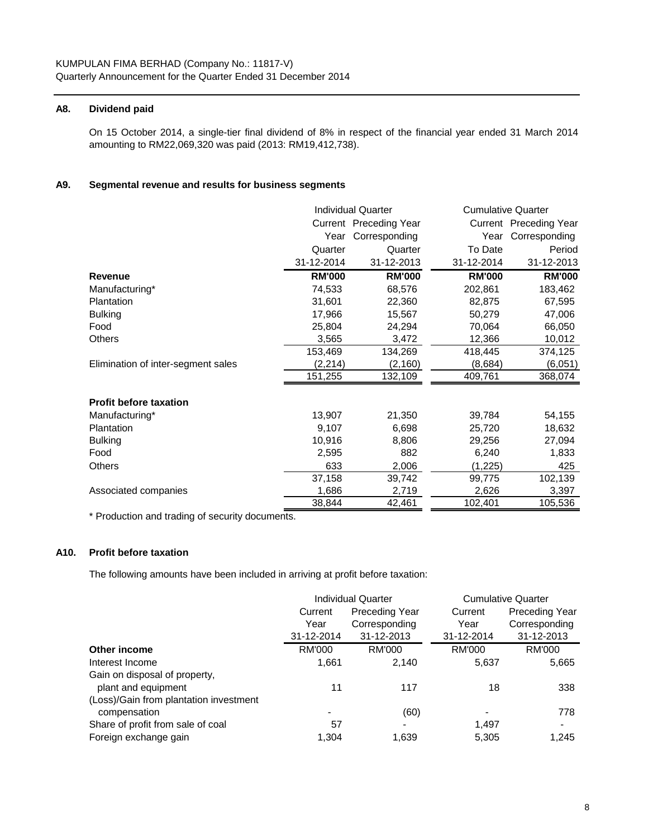# **A8. Dividend paid**

On 15 October 2014, a single-tier final dividend of 8% in respect of the financial year ended 31 March 2014 amounting to RM22,069,320 was paid (2013: RM19,412,738).

# **A9. Segmental revenue and results for business segments**

|                                    | <b>Individual Quarter</b> |                        |               | <b>Cumulative Quarter</b> |
|------------------------------------|---------------------------|------------------------|---------------|---------------------------|
|                                    |                           | Current Preceding Year |               | Current Preceding Year    |
|                                    | Year                      | Corresponding          | Year          | Corresponding             |
|                                    | Quarter                   | Quarter                | To Date       | Period                    |
|                                    | 31-12-2014                | 31-12-2013             | 31-12-2014    | 31-12-2013                |
| <b>Revenue</b>                     | <b>RM'000</b>             | <b>RM'000</b>          | <b>RM'000</b> | <b>RM'000</b>             |
| Manufacturing*                     | 74,533                    | 68,576                 | 202,861       | 183,462                   |
| Plantation                         | 31,601                    | 22,360                 | 82,875        | 67,595                    |
| <b>Bulking</b>                     | 17,966                    | 15,567                 | 50,279        | 47,006                    |
| Food                               | 25,804                    | 24,294                 | 70,064        | 66,050                    |
| <b>Others</b>                      | 3,565                     | 3,472                  | 12,366        | 10,012                    |
|                                    | 153,469                   | 134,269                | 418,445       | 374,125                   |
| Elimination of inter-segment sales | (2, 214)                  | (2, 160)               | (8,684)       | (6,051)                   |
|                                    | 151,255                   | 132,109                | 409,761       | 368,074                   |
| <b>Profit before taxation</b>      |                           |                        |               |                           |
| Manufacturing*                     | 13,907                    | 21,350                 | 39,784        | 54,155                    |
| Plantation                         | 9,107                     | 6,698                  | 25,720        | 18,632                    |
| <b>Bulking</b>                     | 10,916                    | 8,806                  | 29,256        | 27,094                    |
| Food                               | 2,595                     | 882                    | 6,240         | 1,833                     |
| <b>Others</b>                      | 633                       | 2,006                  | (1, 225)      | 425                       |
|                                    | 37,158                    | 39,742                 | 99,775        | 102,139                   |
| Associated companies               | 1,686                     | 2,719                  | 2,626         | 3,397                     |
|                                    | 38,844                    | 42,461                 | 102,401       | 105,536                   |

\* Production and trading of security documents.

# **A10. Profit before taxation**

The following amounts have been included in arriving at profit before taxation:

|                                        |                                  | <b>Individual Quarter</b> | <b>Cumulative Quarter</b> |                       |  |
|----------------------------------------|----------------------------------|---------------------------|---------------------------|-----------------------|--|
|                                        | <b>Preceding Year</b><br>Current |                           | Current                   | <b>Preceding Year</b> |  |
|                                        | Year                             | Corresponding             | Year                      | Corresponding         |  |
|                                        | 31-12-2014                       | 31-12-2013                | 31-12-2014                | 31-12-2013            |  |
| Other income                           | <b>RM'000</b>                    | <b>RM'000</b>             | <b>RM'000</b>             | <b>RM'000</b>         |  |
| Interest Income                        | 1,661                            | 2,140                     | 5,637                     | 5,665                 |  |
| Gain on disposal of property,          |                                  |                           |                           |                       |  |
| plant and equipment                    | 11                               | 117                       | 18                        | 338                   |  |
| (Loss)/Gain from plantation investment |                                  |                           |                           |                       |  |
| compensation                           |                                  | (60)                      |                           | 778                   |  |
| Share of profit from sale of coal      | 57                               | $\blacksquare$            | 1,497                     | $\blacksquare$        |  |
| Foreign exchange gain                  | 1.304                            | 1,639                     | 5,305                     | 1.245                 |  |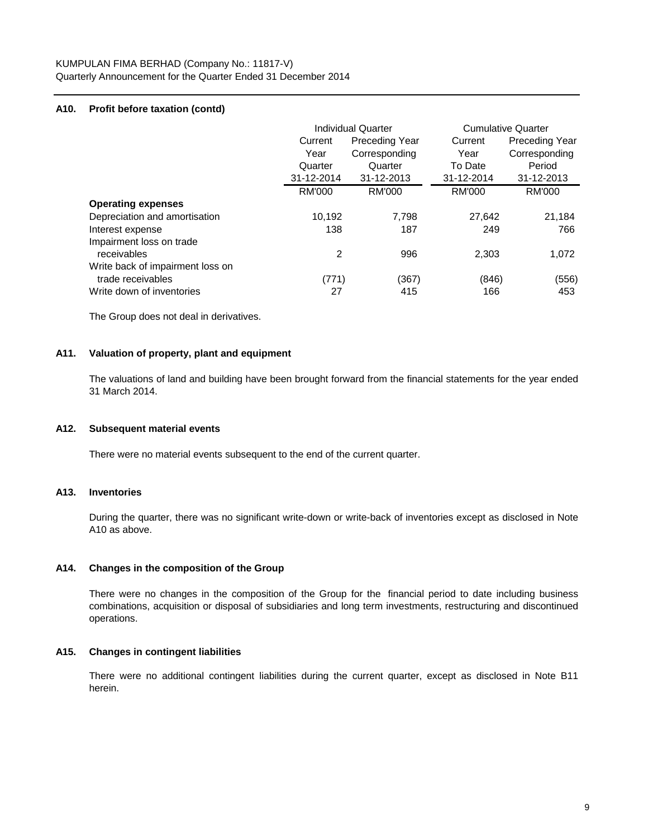# **A10. Profit before taxation (contd)**

|                                  | <b>Individual Quarter</b> |                       | <b>Cumulative Quarter</b> |                       |
|----------------------------------|---------------------------|-----------------------|---------------------------|-----------------------|
|                                  | Current                   | <b>Preceding Year</b> | Current                   | <b>Preceding Year</b> |
|                                  | Year                      | Corresponding         | Year                      | Corresponding         |
|                                  | Quarter                   | Quarter               | To Date                   | Period                |
|                                  | 31-12-2014                | 31-12-2013            | 31-12-2014                | 31-12-2013            |
|                                  | <b>RM'000</b>             | RM'000                | <b>RM'000</b>             | <b>RM'000</b>         |
| <b>Operating expenses</b>        |                           |                       |                           |                       |
| Depreciation and amortisation    | 10,192                    | 7.798                 | 27,642                    | 21,184                |
| Interest expense                 | 138                       | 187                   | 249                       | 766                   |
| Impairment loss on trade         |                           |                       |                           |                       |
| receivables                      | 2                         | 996                   | 2,303                     | 1,072                 |
| Write back of impairment loss on |                           |                       |                           |                       |
| trade receivables                | (771)                     | (367)                 | (846)                     | (556)                 |
| Write down of inventories        | 27                        | 415                   | 166                       | 453                   |

The Group does not deal in derivatives.

# **A11. Valuation of property, plant and equipment**

The valuations of land and building have been brought forward from the financial statements for the year ended 31 March 2014.

#### **A12. Subsequent material events**

There were no material events subsequent to the end of the current quarter.

#### **A13. Inventories**

During the quarter, there was no significant write-down or write-back of inventories except as disclosed in Note A10 as above.

#### **A14. Changes in the composition of the Group**

There were no changes in the composition of the Group for the financial period to date including business combinations, acquisition or disposal of subsidiaries and long term investments, restructuring and discontinued operations.

#### **A15. Changes in contingent liabilities**

There were no additional contingent liabilities during the current quarter, except as disclosed in Note B11 herein.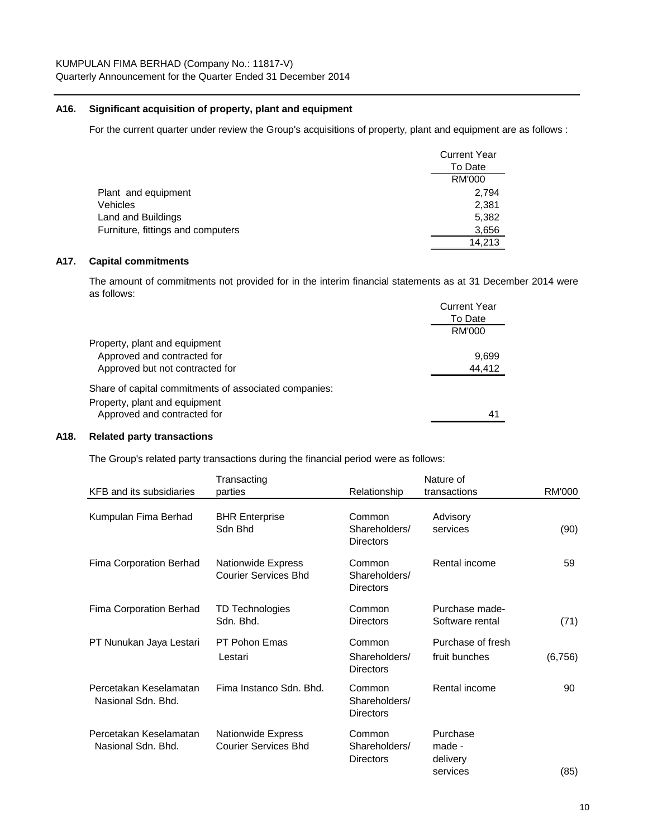# **A16. Significant acquisition of property, plant and equipment**

For the current quarter under review the Group's acquisitions of property, plant and equipment are as follows :

|                                   | <b>Current Year</b> |
|-----------------------------------|---------------------|
|                                   | To Date             |
|                                   | RM'000              |
| Plant and equipment               | 2.794               |
| Vehicles                          | 2,381               |
| Land and Buildings                | 5,382               |
| Furniture, fittings and computers | 3,656               |
|                                   | 14.213              |

# **A17. Capital commitments**

The amount of commitments not provided for in the interim financial statements as at 31 December 2014 were as follows:

|                                                       | <b>Current Year</b> |
|-------------------------------------------------------|---------------------|
|                                                       | To Date             |
|                                                       | RM'000              |
| Property, plant and equipment                         |                     |
| Approved and contracted for                           | 9.699               |
| Approved but not contracted for                       | 44.412              |
| Share of capital commitments of associated companies: |                     |
| Property, plant and equipment                         |                     |
| Approved and contracted for                           | 41                  |
|                                                       |                     |

# **A18. Related party transactions**

The Group's related party transactions during the financial period were as follows:

| KFB and its subsidiaries                     | Transacting<br>parties                                   | Relationship                                | Nature of<br>transactions                  | RM'000   |
|----------------------------------------------|----------------------------------------------------------|---------------------------------------------|--------------------------------------------|----------|
| Kumpulan Fima Berhad                         | <b>BHR Enterprise</b>                                    | Common                                      | Advisory                                   |          |
|                                              | Sdn Bhd                                                  | Shareholders/<br><b>Directors</b>           | services                                   | (90)     |
| Fima Corporation Berhad                      | <b>Nationwide Express</b><br><b>Courier Services Bhd</b> | Common<br>Shareholders/<br><b>Directors</b> | Rental income                              | 59       |
| Fima Corporation Berhad                      | TD Technologies<br>Sdn. Bhd.                             | Common<br><b>Directors</b>                  | Purchase made-<br>Software rental          | (71)     |
| PT Nunukan Jaya Lestari                      | PT Pohon Emas                                            | Common                                      | Purchase of fresh                          |          |
|                                              | Lestari                                                  | Shareholders/<br><b>Directors</b>           | fruit bunches                              | (6, 756) |
| Percetakan Keselamatan<br>Nasional Sdn. Bhd. | Fima Instanco Sdn. Bhd.                                  | Common<br>Shareholders/<br><b>Directors</b> | Rental income                              | 90       |
| Percetakan Keselamatan<br>Nasional Sdn. Bhd. | <b>Nationwide Express</b><br><b>Courier Services Bhd</b> | Common<br>Shareholders/<br><b>Directors</b> | Purchase<br>made -<br>delivery<br>services | (85)     |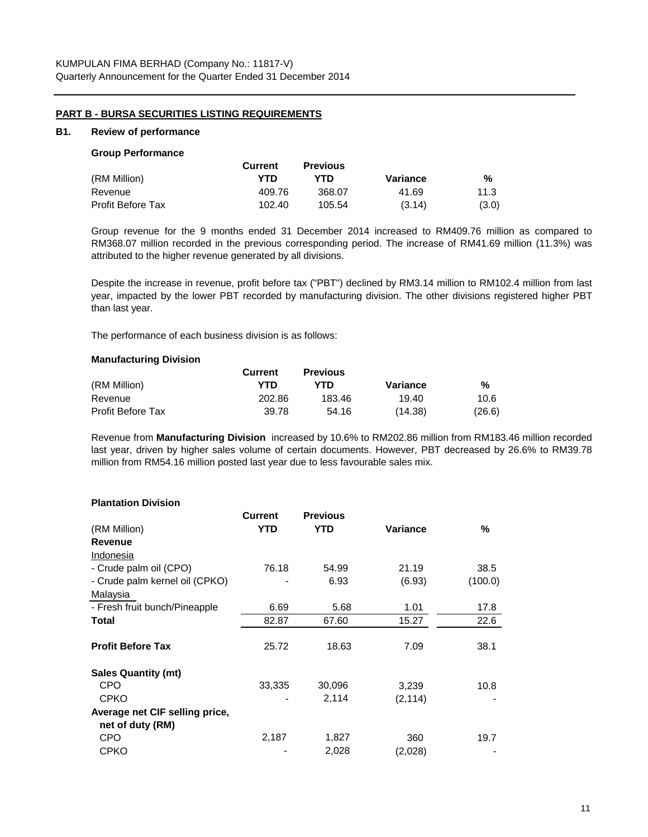# **PART B - BURSA SECURITIES LISTING REQUIREMENTS**

#### **B1. Review of performance**

#### **Group Performance**

|                   | <b>Current</b> | <b>Previous</b> |          |       |
|-------------------|----------------|-----------------|----------|-------|
| (RM Million)      | YTD            | YTD             | Variance | %     |
| Revenue           | 409.76         | 368.07          | 41.69    | 11.3  |
| Profit Before Tax | 102.40         | 105.54          | (3.14)   | (3.0) |

Group revenue for the 9 months ended 31 December 2014 increased to RM409.76 million as compared to RM368.07 million recorded in the previous corresponding period. The increase of RM41.69 million (11.3%) was attributed to the higher revenue generated by all divisions.

Despite the increase in revenue, profit before tax ("PBT") declined by RM3.14 million to RM102.4 million from last year, impacted by the lower PBT recorded by manufacturing division. The other divisions registered higher PBT than last year.

The performance of each business division is as follows:

#### **Manufacturing Division**

|                          | Current | <b>Previous</b> |          |        |
|--------------------------|---------|-----------------|----------|--------|
| (RM Million)             | YTD     | YTD.            | Variance | %      |
| Revenue                  | 202.86  | 183.46          | 19.40    | 10.6   |
| <b>Profit Before Tax</b> | 39.78   | 54.16           | (14.38)  | (26.6) |

Revenue from **Manufacturing Division** increased by 10.6% to RM202.86 million from RM183.46 million recorded last year, driven by higher sales volume of certain documents. However, PBT decreased by 26.6% to RM39.78 million from RM54.16 million posted last year due to less favourable sales mix.

#### **Plantation Division**

|                                | <b>Current</b> | <b>Previous</b> |          |         |
|--------------------------------|----------------|-----------------|----------|---------|
| (RM Million)                   | YTD            | YTD             | Variance | %       |
| <b>Revenue</b>                 |                |                 |          |         |
| Indonesia                      |                |                 |          |         |
| - Crude palm oil (CPO)         | 76.18          | 54.99           | 21.19    | 38.5    |
| - Crude palm kernel oil (CPKO) |                | 6.93            | (6.93)   | (100.0) |
| Malaysia                       |                |                 |          |         |
| - Fresh fruit bunch/Pineapple  | 6.69           | 5.68            | 1.01     | 17.8    |
| Total                          | 82.87          | 67.60           | 15.27    | 22.6    |
|                                |                |                 |          |         |
| <b>Profit Before Tax</b>       | 25.72          | 18.63           | 7.09     | 38.1    |
| <b>Sales Quantity (mt)</b>     |                |                 |          |         |
| <b>CPO</b>                     | 33,335         | 30,096          | 3,239    | 10.8    |
| <b>CPKO</b>                    |                | 2,114           | (2, 114) |         |
| Average net CIF selling price, |                |                 |          |         |
| net of duty (RM)               |                |                 |          |         |
| <b>CPO</b>                     | 2,187          | 1,827           | 360      | 19.7    |
| <b>CPKO</b>                    |                | 2,028           | (2,028)  |         |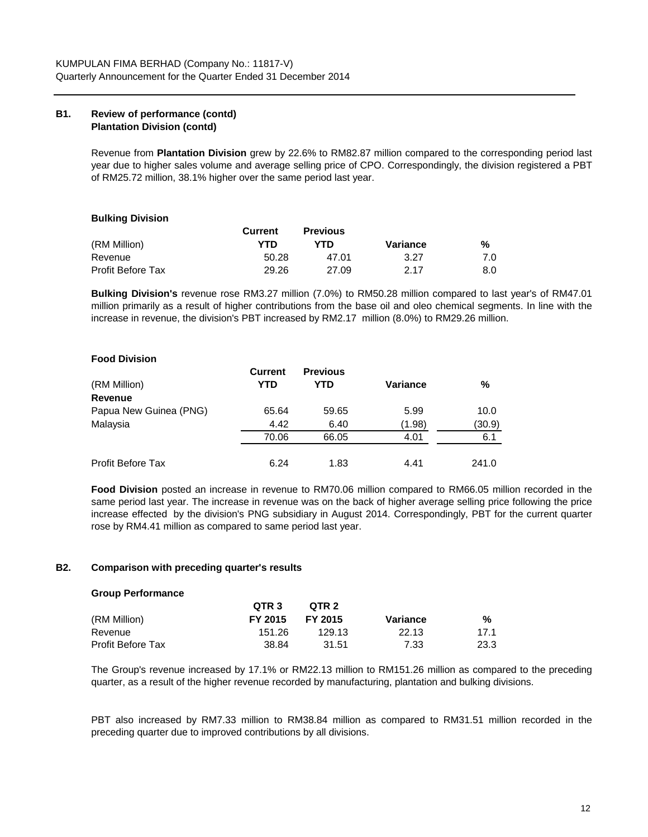# **B1. Review of performance (contd) Plantation Division (contd)**

Revenue from **Plantation Division** grew by 22.6% to RM82.87 million compared to the corresponding period last year due to higher sales volume and average selling price of CPO. Correspondingly, the division registered a PBT of RM25.72 million, 38.1% higher over the same period last year.

# **Bulking Division**

|                   | <b>Current</b> | <b>Previous</b> |          |     |
|-------------------|----------------|-----------------|----------|-----|
| (RM Million)      | YTD            | YTD             | Variance | %   |
| Revenue           | 50.28          | 47.01           | 3.27     | 7.0 |
| Profit Before Tax | 29.26          | 27.09           | 2.17     | 8.0 |

**Bulking Division's** revenue rose RM3.27 million (7.0%) to RM50.28 million compared to last year's of RM47.01 million primarily as a result of higher contributions from the base oil and oleo chemical segments. In line with the increase in revenue, the division's PBT increased by RM2.17 million (8.0%) to RM29.26 million.

# **Food Division**

|                          | <b>Current</b> | <b>Previous</b> |          |        |
|--------------------------|----------------|-----------------|----------|--------|
| (RM Million)             | YTD            | YTD             | Variance | %      |
| <b>Revenue</b>           |                |                 |          |        |
| Papua New Guinea (PNG)   | 65.64          | 59.65           | 5.99     | 10.0   |
| Malaysia                 | 4.42           | 6.40            | (1.98)   | (30.9) |
|                          | 70.06          | 66.05           | 4.01     | 6.1    |
| <b>Profit Before Tax</b> | 6.24           | 1.83            | 4.41     | 241.0  |

**Food Division** posted an increase in revenue to RM70.06 million compared to RM66.05 million recorded in the same period last year. The increase in revenue was on the back of higher average selling price following the price increase effected by the division's PNG subsidiary in August 2014. Correspondingly, PBT for the current quarter rose by RM4.41 million as compared to same period last year.

#### **B2. Comparison with preceding quarter's results**

| <b>Group Performance</b> |  |
|--------------------------|--|
|--------------------------|--|

|                   | OTR <sub>3</sub> | OTR 2          |          |      |
|-------------------|------------------|----------------|----------|------|
| (RM Million)      | FY 2015          | <b>FY 2015</b> | Variance | %    |
| Revenue           | 151.26           | 129.13         | 22.13    | 17.1 |
| Profit Before Tax | 38.84            | 31.51          | 7.33     | 23.3 |

The Group's revenue increased by 17.1% or RM22.13 million to RM151.26 million as compared to the preceding quarter, as a result of the higher revenue recorded by manufacturing, plantation and bulking divisions.

PBT also increased by RM7.33 million to RM38.84 million as compared to RM31.51 million recorded in the preceding quarter due to improved contributions by all divisions.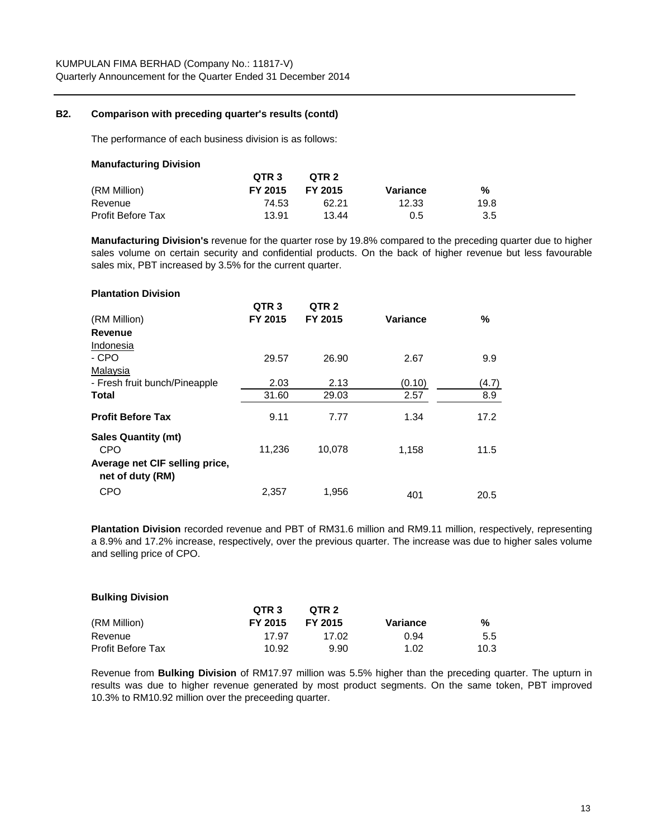#### **B2. Comparison with preceding quarter's results (contd)**

**Bulking Division**

The performance of each business division is as follows:

| <b>Manufacturing Division</b> |                  |         |          |      |
|-------------------------------|------------------|---------|----------|------|
|                               | OTR <sub>3</sub> | QTR 2   |          |      |
| (RM Million)                  | FY 2015          | FY 2015 | Variance | %    |
| Revenue                       | 74.53            | 62.21   | 12.33    | 19.8 |
| <b>Profit Before Tax</b>      | 13.91            | 13.44   | 0.5      | 3.5  |

**Manufacturing Division's** revenue for the quarter rose by 19.8% compared to the preceding quarter due to higher sales volume on certain security and confidential products. On the back of higher revenue but less favourable sales mix, PBT increased by 3.5% for the current quarter.

| <b>Plantation Division</b>                         |                  |                  |          |       |
|----------------------------------------------------|------------------|------------------|----------|-------|
|                                                    | QTR <sub>3</sub> | QTR <sub>2</sub> |          |       |
| (RM Million)                                       | FY 2015          | FY 2015          | Variance | ℅     |
| Revenue                                            |                  |                  |          |       |
| Indonesia                                          |                  |                  |          |       |
| - CPO                                              | 29.57            | 26.90            | 2.67     | 9.9   |
| Malaysia                                           |                  |                  |          |       |
| - Fresh fruit bunch/Pineapple                      | 2.03             | 2.13             | (0.10)   | (4.7) |
| Total                                              | 31.60            | 29.03            | 2.57     | 8.9   |
| <b>Profit Before Tax</b>                           | 9.11             | 7.77             | 1.34     | 17.2  |
| <b>Sales Quantity (mt)</b>                         |                  |                  |          |       |
| <b>CPO</b>                                         | 11,236           | 10,078           | 1,158    | 11.5  |
| Average net CIF selling price,<br>net of duty (RM) |                  |                  |          |       |
| <b>CPO</b>                                         | 2,357            | 1,956            | 401      | 20.5  |

**Plantation Division** recorded revenue and PBT of RM31.6 million and RM9.11 million, respectively, representing a 8.9% and 17.2% increase, respectively, over the previous quarter. The increase was due to higher sales volume and selling price of CPO.

| <b>PURILITY PRISION</b>  |                  |         |          |      |
|--------------------------|------------------|---------|----------|------|
|                          | QTR <sub>3</sub> | QTR 2   |          |      |
| (RM Million)             | FY 2015          | FY 2015 | Variance | %    |
| Revenue                  | 17.97            | 17.02   | 0.94     | 5.5  |
| <b>Profit Before Tax</b> | 10.92            | 9.90    | 1.02     | 10.3 |

Revenue from **Bulking Division** of RM17.97 million was 5.5% higher than the preceding quarter. The upturn in results was due to higher revenue generated by most product segments. On the same token, PBT improved 10.3% to RM10.92 million over the preceeding quarter.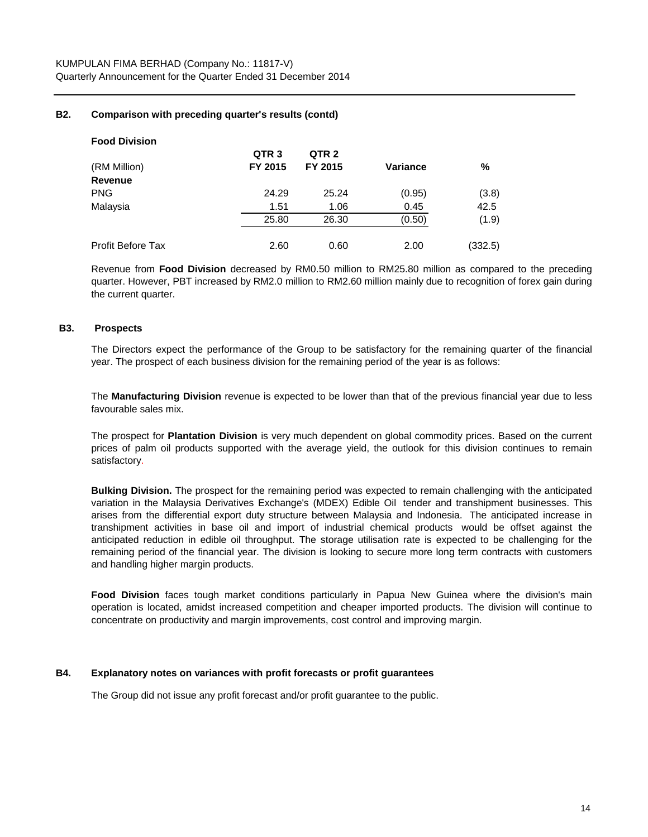# **B2. Comparison with preceding quarter's results (contd)**

| <b>Food Division</b> |                  |                  |          |         |
|----------------------|------------------|------------------|----------|---------|
|                      | QTR <sub>3</sub> | QTR <sub>2</sub> |          |         |
| (RM Million)         | FY 2015          | FY 2015          | Variance | %       |
| Revenue              |                  |                  |          |         |
| <b>PNG</b>           | 24.29            | 25.24            | (0.95)   | (3.8)   |
| Malaysia             | 1.51             | 1.06             | 0.45     | 42.5    |
|                      | 25.80            | 26.30            | (0.50)   | (1.9)   |
| Profit Before Tax    | 2.60             | 0.60             | 2.00     | (332.5) |

Revenue from **Food Division** decreased by RM0.50 million to RM25.80 million as compared to the preceding quarter. However, PBT increased by RM2.0 million to RM2.60 million mainly due to recognition of forex gain during the current quarter.

#### **B3. Prospects**

The Directors expect the performance of the Group to be satisfactory for the remaining quarter of the financial year. The prospect of each business division for the remaining period of the year is as follows:

The **Manufacturing Division** revenue is expected to be lower than that of the previous financial year due to less favourable sales mix.

The prospect for **Plantation Division** is very much dependent on global commodity prices. Based on the current prices of palm oil products supported with the average yield, the outlook for this division continues to remain satisfactory.

**Bulking Division.** The prospect for the remaining period was expected to remain challenging with the anticipated variation in the Malaysia Derivatives Exchange's (MDEX) Edible Oil tender and transhipment businesses. This arises from the differential export duty structure between Malaysia and Indonesia. The anticipated increase in transhipment activities in base oil and import of industrial chemical products would be offset against the anticipated reduction in edible oil throughput. The storage utilisation rate is expected to be challenging for the remaining period of the financial year. The division is looking to secure more long term contracts with customers and handling higher margin products.

**Food Division** faces tough market conditions particularly in Papua New Guinea where the division's main operation is located, amidst increased competition and cheaper imported products. The division will continue to concentrate on productivity and margin improvements, cost control and improving margin.

# **B4. Explanatory notes on variances with profit forecasts or profit guarantees**

The Group did not issue any profit forecast and/or profit guarantee to the public.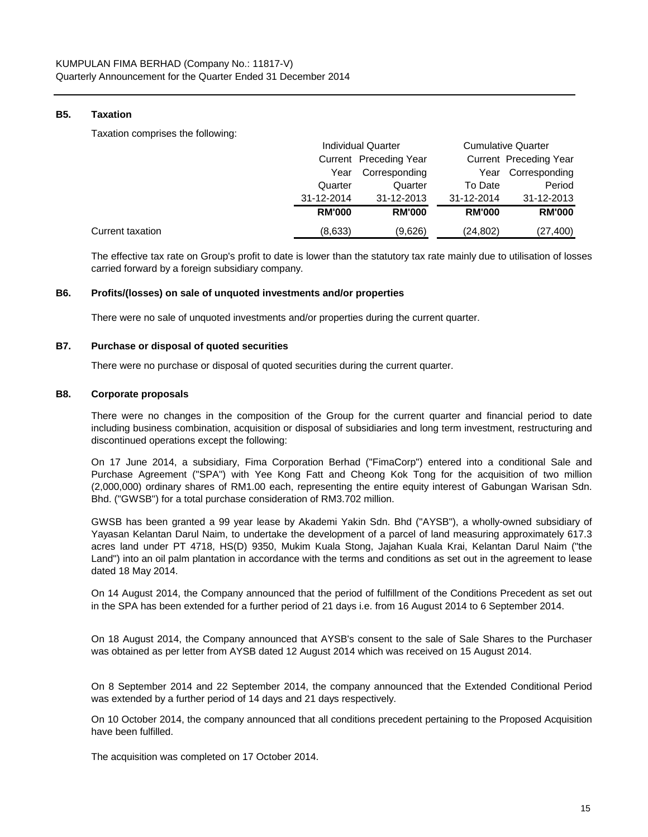# **B5. Taxation**

Taxation comprises the following:

|                  |               | <b>Individual Quarter</b> | <b>Cumulative Quarter</b> |                        |
|------------------|---------------|---------------------------|---------------------------|------------------------|
|                  |               | Current Preceding Year    |                           | Current Preceding Year |
|                  | Year          | Corresponding             | Year                      | Corresponding          |
|                  | Quarter       | Quarter                   | To Date                   | Period                 |
|                  | 31-12-2014    | 31-12-2013                | 31-12-2014                | 31-12-2013             |
|                  | <b>RM'000</b> | <b>RM'000</b>             | <b>RM'000</b>             | <b>RM'000</b>          |
| Current taxation | (8,633)       | (9,626)                   | (24,802)                  | (27, 400)              |

The effective tax rate on Group's profit to date is lower than the statutory tax rate mainly due to utilisation of losses carried forward by a foreign subsidiary company.

#### **B6. Profits/(losses) on sale of unquoted investments and/or properties**

There were no sale of unquoted investments and/or properties during the current quarter.

#### **B7. Purchase or disposal of quoted securities**

There were no purchase or disposal of quoted securities during the current quarter.

#### **B8. Corporate proposals**

There were no changes in the composition of the Group for the current quarter and financial period to date including business combination, acquisition or disposal of subsidiaries and long term investment, restructuring and discontinued operations except the following:

On 17 June 2014, a subsidiary, Fima Corporation Berhad ("FimaCorp") entered into a conditional Sale and Purchase Agreement ("SPA") with Yee Kong Fatt and Cheong Kok Tong for the acquisition of two million (2,000,000) ordinary shares of RM1.00 each, representing the entire equity interest of Gabungan Warisan Sdn. Bhd. ("GWSB") for a total purchase consideration of RM3.702 million.

GWSB has been granted a 99 year lease by Akademi Yakin Sdn. Bhd ("AYSB"), a wholly-owned subsidiary of Yayasan Kelantan Darul Naim, to undertake the development of a parcel of land measuring approximately 617.3 acres land under PT 4718, HS(D) 9350, Mukim Kuala Stong, Jajahan Kuala Krai, Kelantan Darul Naim ("the Land") into an oil palm plantation in accordance with the terms and conditions as set out in the agreement to lease dated 18 May 2014.

On 14 August 2014, the Company announced that the period of fulfillment of the Conditions Precedent as set out in the SPA has been extended for a further period of 21 days i.e. from 16 August 2014 to 6 September 2014.

On 18 August 2014, the Company announced that AYSB's consent to the sale of Sale Shares to the Purchaser was obtained as per letter from AYSB dated 12 August 2014 which was received on 15 August 2014.

On 8 September 2014 and 22 September 2014, the company announced that the Extended Conditional Period was extended by a further period of 14 days and 21 days respectively.

On 10 October 2014, the company announced that all conditions precedent pertaining to the Proposed Acquisition have been fulfilled.

The acquisition was completed on 17 October 2014.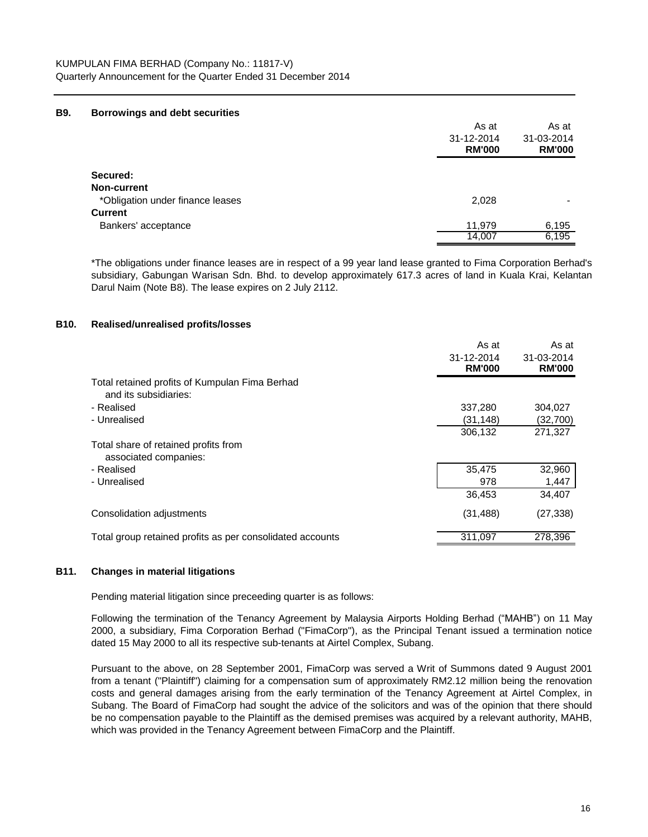#### **B9. Borrowings and debt securities**

|                                  | As at         | As at         |
|----------------------------------|---------------|---------------|
|                                  | 31-12-2014    | 31-03-2014    |
|                                  | <b>RM'000</b> | <b>RM'000</b> |
| Secured:                         |               |               |
| <b>Non-current</b>               |               |               |
| *Obligation under finance leases | 2,028         |               |
| <b>Current</b>                   |               |               |
| Bankers' acceptance              | 11.979        | 6,195         |
|                                  | 14,007        | 6,195         |

\*The obligations under finance leases are in respect of a 99 year land lease granted to Fima Corporation Berhad's subsidiary, Gabungan Warisan Sdn. Bhd. to develop approximately 617.3 acres of land in Kuala Krai, Kelantan Darul Naim (Note B8). The lease expires on 2 July 2112.

#### **B10. Realised/unrealised profits/losses**

|                                                                         | As at         | As at         |
|-------------------------------------------------------------------------|---------------|---------------|
|                                                                         | 31-12-2014    | 31-03-2014    |
|                                                                         | <b>RM'000</b> | <b>RM'000</b> |
| Total retained profits of Kumpulan Fima Berhad<br>and its subsidiaries: |               |               |
| - Realised                                                              | 337,280       | 304,027       |
| - Unrealised                                                            | (31,148)      | (32,700)      |
|                                                                         | 306,132       | 271,327       |
| Total share of retained profits from<br>associated companies:           |               |               |
| - Realised                                                              | 35,475        | 32,960        |
| - Unrealised                                                            | 978           | 1,447         |
|                                                                         | 36,453        | 34,407        |
| Consolidation adjustments                                               | (31, 488)     | (27, 338)     |
| Total group retained profits as per consolidated accounts               | 311,097       | 278,396       |

# **B11. Changes in material litigations**

Pending material litigation since preceeding quarter is as follows:

Following the termination of the Tenancy Agreement by Malaysia Airports Holding Berhad ("MAHB") on 11 May 2000, a subsidiary, Fima Corporation Berhad ("FimaCorp"), as the Principal Tenant issued a termination notice dated 15 May 2000 to all its respective sub-tenants at Airtel Complex, Subang.

Pursuant to the above, on 28 September 2001, FimaCorp was served a Writ of Summons dated 9 August 2001 from a tenant ("Plaintiff") claiming for a compensation sum of approximately RM2.12 million being the renovation costs and general damages arising from the early termination of the Tenancy Agreement at Airtel Complex, in Subang. The Board of FimaCorp had sought the advice of the solicitors and was of the opinion that there should be no compensation payable to the Plaintiff as the demised premises was acquired by a relevant authority, MAHB, which was provided in the Tenancy Agreement between FimaCorp and the Plaintiff.